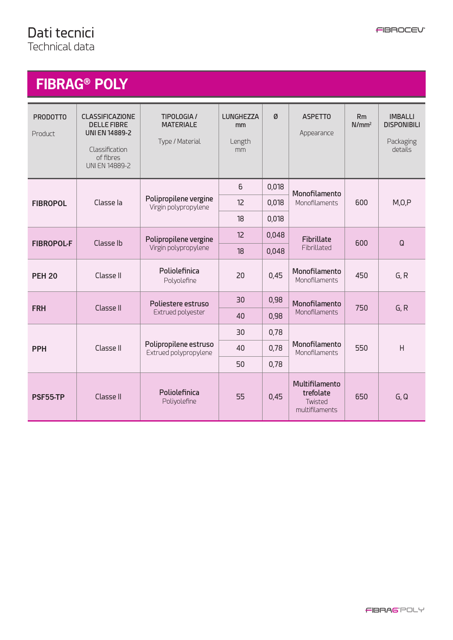# **FIBRAG® POLY**

| <b>PRODOTTO</b><br>Product | <b>CLASSIFICAZIONE</b><br><b>DELLE FIBRE</b><br><b>UNI EN 14889-2</b><br>Classification<br>of fibres<br><b>UNI EN 14889-2</b> | <b>TIPOLOGIA/</b><br><b>MATERIALE</b><br>Type / Material | <b>LUNGHEZZA</b><br>mm<br>Length<br>mm | Ø     | <b>ASPETTO</b><br>Appearance                             | Rm<br>N/mm <sup>2</sup> | <b>IMBALLI</b><br><b>DISPONIBILI</b><br>Packaging<br>details |
|----------------------------|-------------------------------------------------------------------------------------------------------------------------------|----------------------------------------------------------|----------------------------------------|-------|----------------------------------------------------------|-------------------------|--------------------------------------------------------------|
| <b>FIBROPOL</b>            | Classe la                                                                                                                     | Polipropilene vergine<br>Virgin polypropylene            | 6                                      | 0,018 | Monofilamento<br>Monofilaments                           | 600                     | M, O, P                                                      |
|                            |                                                                                                                               |                                                          | 12                                     | 0,018 |                                                          |                         |                                                              |
|                            |                                                                                                                               |                                                          | 18                                     | 0,018 |                                                          |                         |                                                              |
| <b>FIBROPOL-F</b>          | Classe Ib                                                                                                                     | Polipropilene vergine<br>Virgin polypropylene            | 12                                     | 0,048 | Fibrillate<br>Fibrillated                                | 600                     | Q                                                            |
|                            |                                                                                                                               |                                                          | 18                                     | 0,048 |                                                          |                         |                                                              |
| <b>PEH 20</b>              | Classe II                                                                                                                     | Poliolefinica<br>Polyolefine                             | 20                                     | 0,45  | Monofilamento<br>Monofilaments                           | 450                     | G, R                                                         |
| <b>FRH</b>                 | Classe II                                                                                                                     | Poliestere estruso<br><b>Extrued polyester</b>           | 30                                     | 0,98  | Monofilamento<br>Monofilaments                           | 750                     | G, R                                                         |
|                            |                                                                                                                               |                                                          | 40                                     | 0,98  |                                                          |                         |                                                              |
| <b>PPH</b>                 | Classe II                                                                                                                     | Polipropilene estruso<br>Extrued polypropylene           | 30                                     | 0,78  | Monofilamento<br><b>Monofilaments</b>                    | 550                     | H                                                            |
|                            |                                                                                                                               |                                                          | 40                                     | 0,78  |                                                          |                         |                                                              |
|                            |                                                                                                                               |                                                          | 50                                     | 0,78  |                                                          |                         |                                                              |
| PSF55-TP                   | Classe II                                                                                                                     | Poliolefinica<br>Poliyolefine                            | 55                                     | 0,45  | Multifilamento<br>trefolate<br>Twisted<br>multifilaments | 650                     | G, Q                                                         |